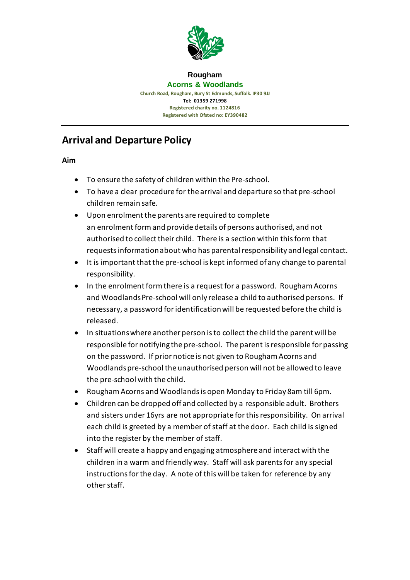

#### **Rougham Acorns & Woodlands Church Road, Rougham, Bury St Edmunds, Suffolk. IP30 9JJ Tel: 01359 271998 Registered charity no. 1124816 Registered with Ofsted no: EY390482**

# **Arrival and Departure Policy**

**Aim**

- To ensure the safety of children within the Pre-school.
- To have a clear procedure for the arrival and departure so that pre-school children remain safe.
- Upon enrolment the parents are required to complete an enrolment form and provide details of persons authorised, and not authorised to collect their child. There is a section within this form that requests information about who has parental responsibility and legal contact.
- It is important that the pre-school is kept informed of any change to parental responsibility.
- In the enrolment form there is a request for a password. Rougham Acorns and Woodlands Pre-school will only release a child to authorised persons. If necessary, a password for identification will be requested before the child is released.
- In situations where another person is to collect the child the parent will be responsible for notifying the pre-school. The parent is responsible for passing on the password. If prior notice is not given to Rougham Acorns and Woodlands pre-school the unauthorised person will not be allowed to leave the pre-school with the child.
- Rougham Acorns and Woodlands is open Monday to Friday 8am till 6pm.
- Children can be dropped off and collected by a responsible adult. Brothers and sisters under 16yrs are not appropriate for this responsibility. On arrival each child is greeted by a member of staff at the door. Each child is signed into the register by the member of staff.
- Staff will create a happy and engaging atmosphere and interact with the children in a warm and friendly way. Staff will ask parents for any special instructions for the day. A note of this will be taken for reference by any other staff.